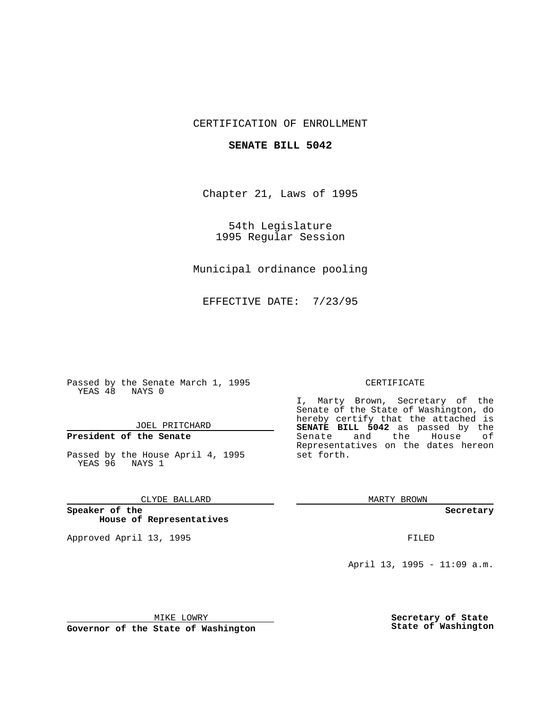## CERTIFICATION OF ENROLLMENT

## **SENATE BILL 5042**

Chapter 21, Laws of 1995

54th Legislature 1995 Regular Session

Municipal ordinance pooling

EFFECTIVE DATE: 7/23/95

Passed by the Senate March 1, 1995 YEAS 48 NAYS 0

JOEL PRITCHARD

**President of the Senate**

Passed by the House April 4, 1995 YEAS 96 NAYS 1

CLYDE BALLARD

**Speaker of the House of Representatives**

Approved April 13, 1995 FILED

## CERTIFICATE

I, Marty Brown, Secretary of the Senate of the State of Washington, do hereby certify that the attached is **SENATE BILL 5042** as passed by the Senate and the House of Representatives on the dates hereon set forth.

MARTY BROWN

**Secretary**

April 13, 1995 - 11:09 a.m.

MIKE LOWRY

**Governor of the State of Washington**

**Secretary of State State of Washington**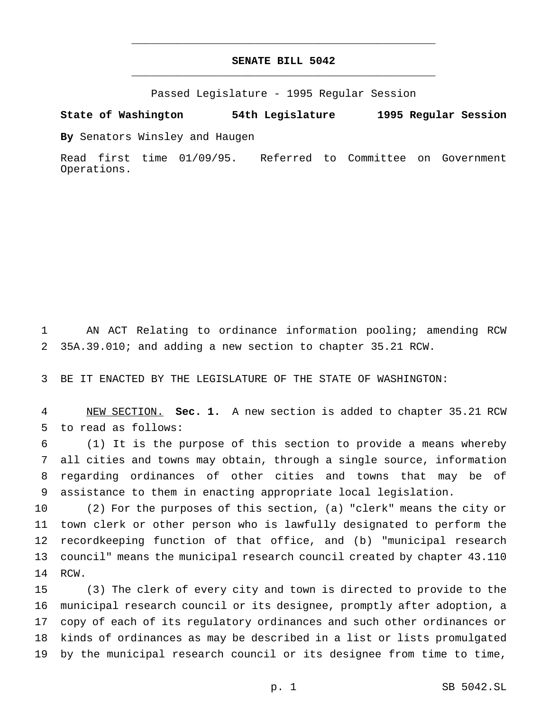## **SENATE BILL 5042** \_\_\_\_\_\_\_\_\_\_\_\_\_\_\_\_\_\_\_\_\_\_\_\_\_\_\_\_\_\_\_\_\_\_\_\_\_\_\_\_\_\_\_\_\_\_\_

\_\_\_\_\_\_\_\_\_\_\_\_\_\_\_\_\_\_\_\_\_\_\_\_\_\_\_\_\_\_\_\_\_\_\_\_\_\_\_\_\_\_\_\_\_\_\_

Passed Legislature - 1995 Regular Session

**State of Washington 54th Legislature 1995 Regular Session**

**By** Senators Winsley and Haugen

Read first time 01/09/95. Referred to Committee on Government Operations.

 AN ACT Relating to ordinance information pooling; amending RCW 35A.39.010; and adding a new section to chapter 35.21 RCW.

BE IT ENACTED BY THE LEGISLATURE OF THE STATE OF WASHINGTON:

 NEW SECTION. **Sec. 1.** A new section is added to chapter 35.21 RCW to read as follows:

 (1) It is the purpose of this section to provide a means whereby all cities and towns may obtain, through a single source, information regarding ordinances of other cities and towns that may be of assistance to them in enacting appropriate local legislation.

 (2) For the purposes of this section, (a) "clerk" means the city or town clerk or other person who is lawfully designated to perform the recordkeeping function of that office, and (b) "municipal research council" means the municipal research council created by chapter 43.110 RCW.

 (3) The clerk of every city and town is directed to provide to the municipal research council or its designee, promptly after adoption, a copy of each of its regulatory ordinances and such other ordinances or kinds of ordinances as may be described in a list or lists promulgated by the municipal research council or its designee from time to time,